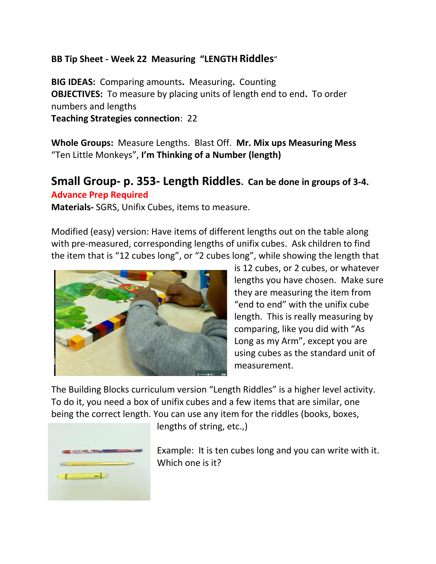## **BB Tip Sheet - Week 22 Measuring "LENGTH Riddles**"

**BIG IDEAS:** Comparing amounts**.** Measuring**.** Counting **OBJECTIVES:** To measure by placing units of length end to end**.** To order numbers and lengths

**Teaching Strategies connection**: 22

**Whole Groups:** Measure Lengths.Blast Off. **Mr. Mix ups Measuring Mess** "Ten Little Monkeys", **I'm Thinking of a Number (length)**

## **Small Group- p. 353- Length Riddles. Can be done in groups of 3-4. Advance Prep Required**

**Materials-** SGRS, Unifix Cubes, items to measure.

Modified (easy) version: Have items of different lengths out on the table along with pre-measured, corresponding lengths of unifix cubes. Ask children to find the item that is "12 cubes long", or "2 cubes long", while showing the length that



is 12 cubes, or 2 cubes, or whatever lengths you have chosen. Make sure they are measuring the item from "end to end" with the unifix cube length. This is really measuring by comparing, like you did with "As Long as my Arm", except you are using cubes as the standard unit of measurement.

The Building Blocks curriculum version "Length Riddles" is a higher level activity. To do it, you need a box of unifix cubes and a few items that are similar, one being the correct length. You can use any item for the riddles (books, boxes,



lengths of string, etc.,)

Example: It is ten cubes long and you can write with it. Which one is it?